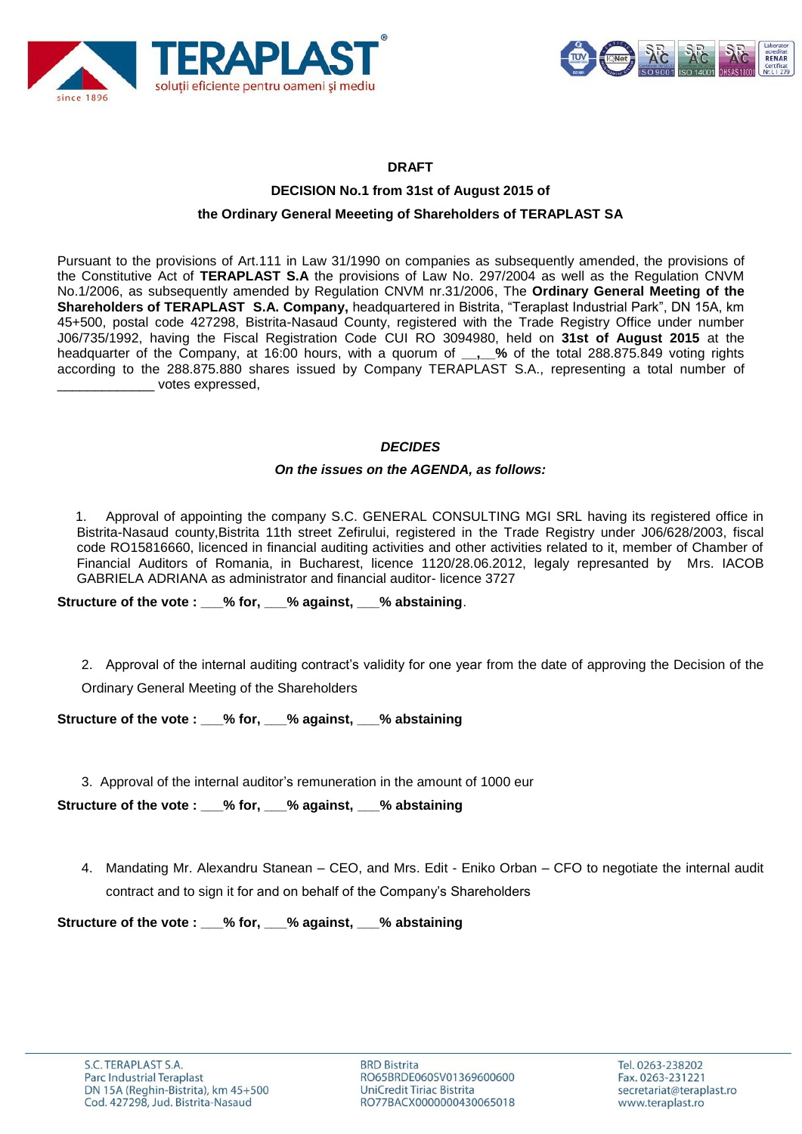



## **DRAFT**

# **DECISION No.1 from 31st of August 2015 of the Ordinary General Meeeting of Shareholders of TERAPLAST SA**

Pursuant to the provisions of Art.111 in Law 31/1990 on companies as subsequently amended, the provisions of the Constitutive Act of **TERAPLAST S.A** the provisions of Law No. 297/2004 as well as the Regulation CNVM No.1/2006, as subsequently amended by Regulation CNVM nr.31/2006, The **Ordinary General Meeting of the Shareholders of TERAPLAST S.A. Company,** headquartered in Bistrita, "Teraplast Industrial Park", DN 15A, km 45+500, postal code 427298, Bistrita-Nasaud County, registered with the Trade Registry Office under number J06/735/1992, having the Fiscal Registration Code CUI RO 3094980, held on **31st of August 2015** at the headquarter of the Company, at 16:00 hours, with a quorum of **\_\_,\_\_%** of the total 288.875.849 voting rights according to the 288.875.880 shares issued by Company TERAPLAST S.A., representing a total number of \_\_\_\_\_\_\_\_\_\_\_\_\_ votes expressed,

### *DECIDES*

#### *On the issues on the AGENDA, as follows:*

1. Approval of appointing the company S.C. GENERAL CONSULTING MGI SRL having its registered office in Bistrita-Nasaud county,Bistrita 11th street Zefirului, registered in the Trade Registry under J06/628/2003, fiscal code RO15816660, licenced in financial auditing activities and other activities related to it, member of Chamber of Financial Auditors of Romania, in Bucharest, licence 1120/28.06.2012, legaly represanted by Mrs. IACOB GABRIELA ADRIANA as administrator and financial auditor- licence 3727

**Structure of the vote : \_\_\_% for, \_\_\_% against, \_\_\_% abstaining**.

2. Approval of the internal auditing contract's validity for one year from the date of approving the Decision of the

Ordinary General Meeting of the Shareholders

**Structure of the vote : \_\_\_% for, \_\_\_% against, \_\_\_% abstaining**

3. Approval of the internal auditor's remuneration in the amount of 1000 eur

**Structure of the vote : \_\_\_% for, \_\_\_% against, \_\_\_% abstaining**

4. Mandating Mr. Alexandru Stanean – CEO, and Mrs. Edit - Eniko Orban – CFO to negotiate the internal audit contract and to sign it for and on behalf of the Company's Shareholders

**Structure of the vote : \_\_\_% for, \_\_\_% against, \_\_\_% abstaining**